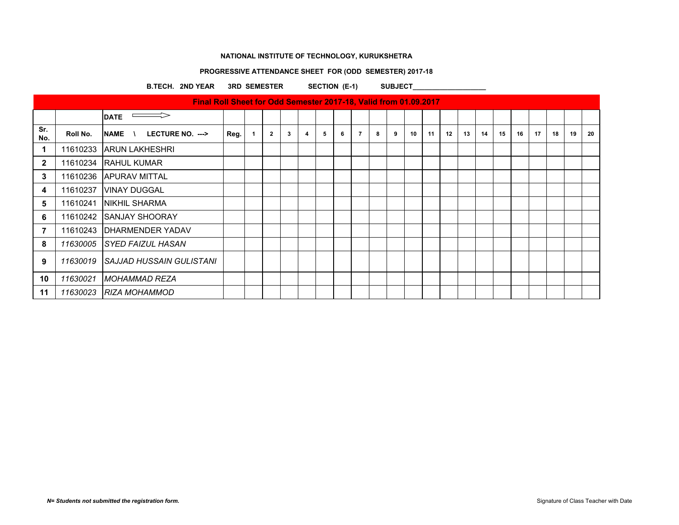# **PROGRESSIVE ATTENDANCE SHEET FOR (ODD SEMESTER) 2017-18**

B.TECH. 2ND YEAR 3RD SEMESTER SECTION (E-1) SUBJECT\_\_\_\_\_\_\_\_\_\_\_\_\_\_\_\_\_\_\_\_\_\_\_\_\_\_\_\_\_\_

|                |          | Final Roll Sheet for Odd Semester 2017-18, Valid from 01.09.2017 |      |                |   |                         |   |   |                |   |   |    |    |    |    |    |    |    |    |    |    |    |
|----------------|----------|------------------------------------------------------------------|------|----------------|---|-------------------------|---|---|----------------|---|---|----|----|----|----|----|----|----|----|----|----|----|
|                |          | <b>DATE</b>                                                      |      |                |   |                         |   |   |                |   |   |    |    |    |    |    |    |    |    |    |    |    |
| Sr.<br>No.     | Roll No. | LECTURE NO. ---><br><b>NAME</b><br>$\lambda$                     | Reg. | $\overline{2}$ | 3 | $\overline{\mathbf{4}}$ | 5 | 6 | $\overline{7}$ | 8 | 9 | 10 | 11 | 12 | 13 | 14 | 15 | 16 | 17 | 18 | 19 | 20 |
| 1              | 11610233 | <b>ARUN LAKHESHRI</b>                                            |      |                |   |                         |   |   |                |   |   |    |    |    |    |    |    |    |    |    |    |    |
| $\mathbf{2}$   | 11610234 | <b>RAHUL KUMAR</b>                                               |      |                |   |                         |   |   |                |   |   |    |    |    |    |    |    |    |    |    |    |    |
| 3              | 11610236 | <b>APURAV MITTAL</b>                                             |      |                |   |                         |   |   |                |   |   |    |    |    |    |    |    |    |    |    |    |    |
| 4              | 11610237 | <b>VINAY DUGGAL</b>                                              |      |                |   |                         |   |   |                |   |   |    |    |    |    |    |    |    |    |    |    |    |
| 5              | 11610241 | <b>NIKHIL SHARMA</b>                                             |      |                |   |                         |   |   |                |   |   |    |    |    |    |    |    |    |    |    |    |    |
| 6              | 11610242 | <b>ISANJAY SHOORAY</b>                                           |      |                |   |                         |   |   |                |   |   |    |    |    |    |    |    |    |    |    |    |    |
| $\overline{7}$ | 11610243 | <b>IDHARMENDER YADAV</b>                                         |      |                |   |                         |   |   |                |   |   |    |    |    |    |    |    |    |    |    |    |    |
| 8              | 11630005 | ISYED FAIZUL HASAN                                               |      |                |   |                         |   |   |                |   |   |    |    |    |    |    |    |    |    |    |    |    |
| 9              | 11630019 | SAJJAD HUSSAIN GULISTANI                                         |      |                |   |                         |   |   |                |   |   |    |    |    |    |    |    |    |    |    |    |    |
| 10             | 11630021 | IMOHAMMAD REZA                                                   |      |                |   |                         |   |   |                |   |   |    |    |    |    |    |    |    |    |    |    |    |
| 11             | 11630023 | IRIZA MOHAMMOD                                                   |      |                |   |                         |   |   |                |   |   |    |    |    |    |    |    |    |    |    |    |    |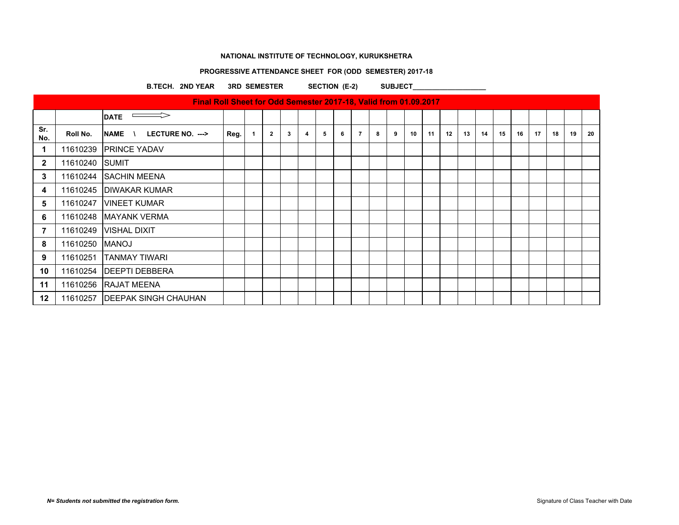# **PROGRESSIVE ATTENDANCE SHEET FOR (ODD SEMESTER) 2017-18**

B.TECH. 2ND YEAR 3RD SEMESTER SECTION (E-2) SUBJECT\_\_\_\_\_\_\_\_\_\_\_\_\_\_\_\_\_\_\_\_\_\_\_\_\_\_\_\_\_\_

|                |          | Final Roll Sheet for Odd Semester 2017-18, Valid from 01.09.2017 |      |                |   |                         |   |   |                |   |   |    |    |    |    |    |    |    |    |    |    |    |
|----------------|----------|------------------------------------------------------------------|------|----------------|---|-------------------------|---|---|----------------|---|---|----|----|----|----|----|----|----|----|----|----|----|
|                |          | <b>DATE</b>                                                      |      |                |   |                         |   |   |                |   |   |    |    |    |    |    |    |    |    |    |    |    |
| Sr.<br>No.     | Roll No. | LECTURE NO. ---><br><b>NAME</b>                                  | Reg. | $\overline{2}$ | 3 | $\overline{\mathbf{4}}$ | 5 | 6 | $\overline{7}$ | 8 | 9 | 10 | 11 | 12 | 13 | 14 | 15 | 16 | 17 | 18 | 19 | 20 |
| 1              | 11610239 | <b>IPRINCE YADAV</b>                                             |      |                |   |                         |   |   |                |   |   |    |    |    |    |    |    |    |    |    |    |    |
| $\mathbf{2}$   | 11610240 | <b>SUMIT</b>                                                     |      |                |   |                         |   |   |                |   |   |    |    |    |    |    |    |    |    |    |    |    |
| 3              | 11610244 | <b>SACHIN MEENA</b>                                              |      |                |   |                         |   |   |                |   |   |    |    |    |    |    |    |    |    |    |    |    |
| 4              | 11610245 | <b>DIWAKAR KUMAR</b>                                             |      |                |   |                         |   |   |                |   |   |    |    |    |    |    |    |    |    |    |    |    |
| 5              | 11610247 | <b>VINEET KUMAR</b>                                              |      |                |   |                         |   |   |                |   |   |    |    |    |    |    |    |    |    |    |    |    |
| 6              | 11610248 | <b>IMAYANK VERMA</b>                                             |      |                |   |                         |   |   |                |   |   |    |    |    |    |    |    |    |    |    |    |    |
| $\overline{7}$ | 11610249 | VISHAL DIXIT                                                     |      |                |   |                         |   |   |                |   |   |    |    |    |    |    |    |    |    |    |    |    |
| 8              | 11610250 | MANOJ                                                            |      |                |   |                         |   |   |                |   |   |    |    |    |    |    |    |    |    |    |    |    |
| 9              | 11610251 | <b>TANMAY TIWARI</b>                                             |      |                |   |                         |   |   |                |   |   |    |    |    |    |    |    |    |    |    |    |    |
| 10             | 11610254 | <b>IDEEPTI DEBBERA</b>                                           |      |                |   |                         |   |   |                |   |   |    |    |    |    |    |    |    |    |    |    |    |
| 11             |          | 11610256 RAJAT MEENA                                             |      |                |   |                         |   |   |                |   |   |    |    |    |    |    |    |    |    |    |    |    |
| 12             | 11610257 | <b>DEEPAK SINGH CHAUHAN</b>                                      |      |                |   |                         |   |   |                |   |   |    |    |    |    |    |    |    |    |    |    |    |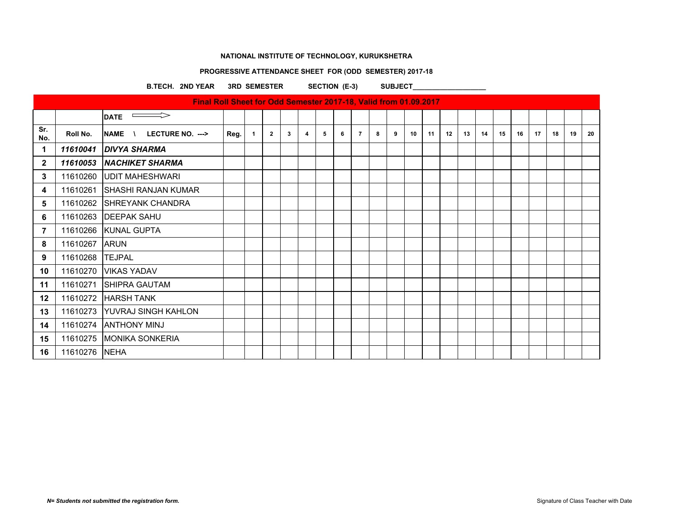# **PROGRESSIVE ATTENDANCE SHEET FOR (ODD SEMESTER) 2017-18**

B.TECH. 2ND YEAR 3RD SEMESTER SECTION (E-3) SUBJECT\_\_\_\_\_\_\_\_\_\_\_\_\_\_\_\_\_\_\_\_\_\_\_\_\_\_\_\_\_\_

|                |                 | Final Roll Sheet for Odd Semester 2017-18, Valid from 01.09.2017 |      |    |                |   |                |   |   |                |   |   |    |    |    |    |    |    |    |    |    |    |    |
|----------------|-----------------|------------------------------------------------------------------|------|----|----------------|---|----------------|---|---|----------------|---|---|----|----|----|----|----|----|----|----|----|----|----|
|                |                 | <b>DATE</b>                                                      |      |    |                |   |                |   |   |                |   |   |    |    |    |    |    |    |    |    |    |    |    |
| Sr.<br>No.     | Roll No.        | LECTURE NO. ---><br><b>NAME</b>                                  | Reg. | -1 | $\overline{2}$ | 3 | $\overline{4}$ | 5 | 6 | $\overline{7}$ | 8 | 9 | 10 | 11 | 12 | 13 | 14 | 15 | 16 | 17 | 18 | 19 | 20 |
| 1              |                 | 11610041 DIVYA SHARMA                                            |      |    |                |   |                |   |   |                |   |   |    |    |    |    |    |    |    |    |    |    |    |
| $\mathbf{2}$   |                 | 11610053 NACHIKET SHARMA                                         |      |    |                |   |                |   |   |                |   |   |    |    |    |    |    |    |    |    |    |    |    |
| 3              |                 | 11610260 UDIT MAHESHWARI                                         |      |    |                |   |                |   |   |                |   |   |    |    |    |    |    |    |    |    |    |    |    |
| 4              | 11610261        | <b>SHASHI RANJAN KUMAR</b>                                       |      |    |                |   |                |   |   |                |   |   |    |    |    |    |    |    |    |    |    |    |    |
| $5\phantom{1}$ |                 | 11610262 SHREYANK CHANDRA                                        |      |    |                |   |                |   |   |                |   |   |    |    |    |    |    |    |    |    |    |    |    |
| 6              |                 | 11610263   DEEPAK SAHU                                           |      |    |                |   |                |   |   |                |   |   |    |    |    |    |    |    |    |    |    |    |    |
| $\overline{7}$ |                 | 11610266 KUNAL GUPTA                                             |      |    |                |   |                |   |   |                |   |   |    |    |    |    |    |    |    |    |    |    |    |
| 8              | 11610267        | <b>ARUN</b>                                                      |      |    |                |   |                |   |   |                |   |   |    |    |    |    |    |    |    |    |    |    |    |
| 9              | 11610268 TEJPAL |                                                                  |      |    |                |   |                |   |   |                |   |   |    |    |    |    |    |    |    |    |    |    |    |
| 10             |                 | 11610270 VIKAS YADAV                                             |      |    |                |   |                |   |   |                |   |   |    |    |    |    |    |    |    |    |    |    |    |
| 11             | 11610271        | <b>SHIPRA GAUTAM</b>                                             |      |    |                |   |                |   |   |                |   |   |    |    |    |    |    |    |    |    |    |    |    |
| 12             |                 | 11610272 HARSH TANK                                              |      |    |                |   |                |   |   |                |   |   |    |    |    |    |    |    |    |    |    |    |    |
| 13             |                 | 11610273 YUVRAJ SINGH KAHLON                                     |      |    |                |   |                |   |   |                |   |   |    |    |    |    |    |    |    |    |    |    |    |
| 14             |                 | 11610274   ANTHONY MINJ                                          |      |    |                |   |                |   |   |                |   |   |    |    |    |    |    |    |    |    |    |    |    |
| 15             |                 | 11610275 MONIKA SONKERIA                                         |      |    |                |   |                |   |   |                |   |   |    |    |    |    |    |    |    |    |    |    |    |
| 16             | 11610276 NEHA   |                                                                  |      |    |                |   |                |   |   |                |   |   |    |    |    |    |    |    |    |    |    |    |    |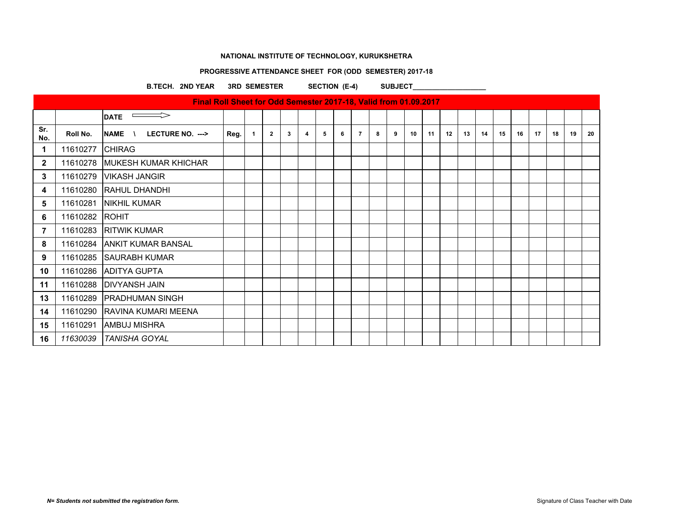# **PROGRESSIVE ATTENDANCE SHEET FOR (ODD SEMESTER) 2017-18**

B.TECH. 2ND YEAR 3RD SEMESTER SECTION (E-4) SUBJECT\_

|              |          | Final Roll Sheet for Odd Semester 2017-18, Valid from 01.09.2017 |      |                      |                |   |                         |   |   |                |   |   |    |    |    |    |    |    |    |    |    |    |    |
|--------------|----------|------------------------------------------------------------------|------|----------------------|----------------|---|-------------------------|---|---|----------------|---|---|----|----|----|----|----|----|----|----|----|----|----|
|              |          | $\implies$<br><b>DATE</b>                                        |      |                      |                |   |                         |   |   |                |   |   |    |    |    |    |    |    |    |    |    |    |    |
| Sr.<br>No.   | Roll No. | <b>NAME</b><br>LECTURE NO. --->                                  | Reg. | $\blacktriangleleft$ | $\overline{2}$ | 3 | $\overline{\mathbf{4}}$ | 5 | 6 | $\overline{7}$ | 8 | 9 | 10 | 11 | 12 | 13 | 14 | 15 | 16 | 17 | 18 | 19 | 20 |
| 1            | 11610277 | <b>CHIRAG</b>                                                    |      |                      |                |   |                         |   |   |                |   |   |    |    |    |    |    |    |    |    |    |    |    |
| $\mathbf{2}$ | 11610278 | MUKESH KUMAR KHICHAR                                             |      |                      |                |   |                         |   |   |                |   |   |    |    |    |    |    |    |    |    |    |    |    |
| 3            | 11610279 | <b>VIKASH JANGIR</b>                                             |      |                      |                |   |                         |   |   |                |   |   |    |    |    |    |    |    |    |    |    |    |    |
| 4            | 11610280 | <b>RAHUL DHANDHI</b>                                             |      |                      |                |   |                         |   |   |                |   |   |    |    |    |    |    |    |    |    |    |    |    |
| 5            | 11610281 | <b>NIKHIL KUMAR</b>                                              |      |                      |                |   |                         |   |   |                |   |   |    |    |    |    |    |    |    |    |    |    |    |
| 6            | 11610282 | ROHIT                                                            |      |                      |                |   |                         |   |   |                |   |   |    |    |    |    |    |    |    |    |    |    |    |
| 7            | 11610283 | <b>RITWIK KUMAR</b>                                              |      |                      |                |   |                         |   |   |                |   |   |    |    |    |    |    |    |    |    |    |    |    |
| 8            |          | 11610284 ANKIT KUMAR BANSAL                                      |      |                      |                |   |                         |   |   |                |   |   |    |    |    |    |    |    |    |    |    |    |    |
| 9            | 11610285 | <b>SAURABH KUMAR</b>                                             |      |                      |                |   |                         |   |   |                |   |   |    |    |    |    |    |    |    |    |    |    |    |
| 10           | 11610286 | <b>ADITYA GUPTA</b>                                              |      |                      |                |   |                         |   |   |                |   |   |    |    |    |    |    |    |    |    |    |    |    |
| 11           |          | 11610288   DIVYANSH JAIN                                         |      |                      |                |   |                         |   |   |                |   |   |    |    |    |    |    |    |    |    |    |    |    |
| 13           | 11610289 | <b>PRADHUMAN SINGH</b>                                           |      |                      |                |   |                         |   |   |                |   |   |    |    |    |    |    |    |    |    |    |    |    |
| 14           | 11610290 | IRAVINA KUMARI MEENA                                             |      |                      |                |   |                         |   |   |                |   |   |    |    |    |    |    |    |    |    |    |    |    |
| 15           | 11610291 | AMBUJ MISHRA                                                     |      |                      |                |   |                         |   |   |                |   |   |    |    |    |    |    |    |    |    |    |    |    |
| 16           | 11630039 | <b>TANISHA GOYAL</b>                                             |      |                      |                |   |                         |   |   |                |   |   |    |    |    |    |    |    |    |    |    |    |    |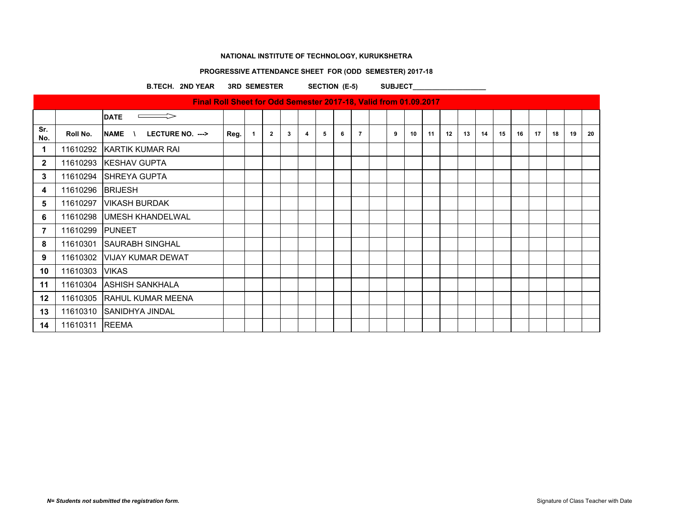# **PROGRESSIVE ATTENDANCE SHEET FOR (ODD SEMESTER) 2017-18**

B.TECH. 2ND YEAR 3RD SEMESTER SECTION (E-5) SUBJECT\_\_\_\_\_\_\_\_\_\_\_\_\_\_\_\_\_\_\_\_\_\_\_\_\_\_\_\_\_\_

|                |                  | Final Roll Sheet for Odd Semester 2017-18, Valid from 01.09.2017 |      |                |   |                         |   |   |                |   |    |    |    |    |    |    |    |    |    |    |     |
|----------------|------------------|------------------------------------------------------------------|------|----------------|---|-------------------------|---|---|----------------|---|----|----|----|----|----|----|----|----|----|----|-----|
|                |                  | <b>DATE</b>                                                      |      |                |   |                         |   |   |                |   |    |    |    |    |    |    |    |    |    |    |     |
| Sr.<br>No.     | Roll No.         | <b>NAME</b><br>LECTURE NO. --->                                  | Reg. | $\overline{2}$ | 3 | $\overline{\mathbf{4}}$ | 5 | 6 | $\overline{7}$ | 9 | 10 | 11 | 12 | 13 | 14 | 15 | 16 | 17 | 18 | 19 | -20 |
| $\mathbf 1$    |                  | 11610292 KARTIK KUMAR RAI                                        |      |                |   |                         |   |   |                |   |    |    |    |    |    |    |    |    |    |    |     |
| $\mathbf{2}$   |                  | 11610293 KESHAV GUPTA                                            |      |                |   |                         |   |   |                |   |    |    |    |    |    |    |    |    |    |    |     |
| 3              |                  | 11610294 SHREYA GUPTA                                            |      |                |   |                         |   |   |                |   |    |    |    |    |    |    |    |    |    |    |     |
| 4              | 11610296 BRIJESH |                                                                  |      |                |   |                         |   |   |                |   |    |    |    |    |    |    |    |    |    |    |     |
| 5              | 11610297         | <b>VIKASH BURDAK</b>                                             |      |                |   |                         |   |   |                |   |    |    |    |    |    |    |    |    |    |    |     |
| 6              |                  | 11610298 UMESH KHANDELWAL                                        |      |                |   |                         |   |   |                |   |    |    |    |    |    |    |    |    |    |    |     |
| $\overline{7}$ | 11610299 PUNEET  |                                                                  |      |                |   |                         |   |   |                |   |    |    |    |    |    |    |    |    |    |    |     |
| 8              |                  | 11610301 SAURABH SINGHAL                                         |      |                |   |                         |   |   |                |   |    |    |    |    |    |    |    |    |    |    |     |
| 9              |                  | 11610302 VIJAY KUMAR DEWAT                                       |      |                |   |                         |   |   |                |   |    |    |    |    |    |    |    |    |    |    |     |
| 10             | 11610303 VIKAS   |                                                                  |      |                |   |                         |   |   |                |   |    |    |    |    |    |    |    |    |    |    |     |
| 11             |                  | 11610304 ASHISH SANKHALA                                         |      |                |   |                         |   |   |                |   |    |    |    |    |    |    |    |    |    |    |     |
| 12             |                  | 11610305 RAHUL KUMAR MEENA                                       |      |                |   |                         |   |   |                |   |    |    |    |    |    |    |    |    |    |    |     |
| 13             |                  | 11610310 SANIDHYA JINDAL                                         |      |                |   |                         |   |   |                |   |    |    |    |    |    |    |    |    |    |    |     |
| 14             | 11610311         | <b>REEMA</b>                                                     |      |                |   |                         |   |   |                |   |    |    |    |    |    |    |    |    |    |    |     |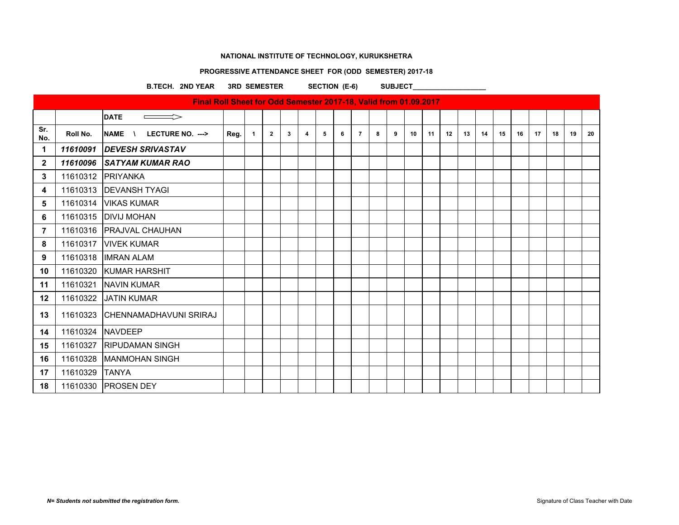# **PROGRESSIVE ATTENDANCE SHEET FOR (ODD SEMESTER) 2017-18**

B.TECH. 2ND YEAR 3RD SEMESTER SECTION (E-6) SUBJECT\_\_\_\_\_\_\_\_\_\_\_\_\_\_\_\_\_\_\_\_\_\_\_\_\_\_\_\_\_\_

|                |          | Final Roll Sheet for Odd Semester 2017-18, Valid from 01.09.2017 |      |              |                |   |                |   |   |                |   |   |    |    |    |    |    |    |    |    |    |    |    |
|----------------|----------|------------------------------------------------------------------|------|--------------|----------------|---|----------------|---|---|----------------|---|---|----|----|----|----|----|----|----|----|----|----|----|
|                |          | <b>DATE</b>                                                      |      |              |                |   |                |   |   |                |   |   |    |    |    |    |    |    |    |    |    |    |    |
| Sr.<br>No.     | Roll No. | <b>NAME</b><br>LECTURE NO. ---><br>$\lambda$                     | Reg. | $\mathbf{1}$ | $\overline{2}$ | 3 | $\overline{4}$ | 5 | 6 | $\overline{7}$ | 8 | 9 | 10 | 11 | 12 | 13 | 14 | 15 | 16 | 17 | 18 | 19 | 20 |
| 1              | 11610091 | <b>DEVESH SRIVASTAV</b>                                          |      |              |                |   |                |   |   |                |   |   |    |    |    |    |    |    |    |    |    |    |    |
| $\mathbf{2}$   | 11610096 | <b>SATYAM KUMAR RAO</b>                                          |      |              |                |   |                |   |   |                |   |   |    |    |    |    |    |    |    |    |    |    |    |
| 3              |          | 11610312 PRIYANKA                                                |      |              |                |   |                |   |   |                |   |   |    |    |    |    |    |    |    |    |    |    |    |
| 4              |          | 11610313   DEVANSH TYAGI                                         |      |              |                |   |                |   |   |                |   |   |    |    |    |    |    |    |    |    |    |    |    |
| 5              | 11610314 | <b>VIKAS KUMAR</b>                                               |      |              |                |   |                |   |   |                |   |   |    |    |    |    |    |    |    |    |    |    |    |
| 6              |          | 11610315   DIVIJ MOHAN                                           |      |              |                |   |                |   |   |                |   |   |    |    |    |    |    |    |    |    |    |    |    |
| $\overline{7}$ |          | 11610316   PRAJVAL CHAUHAN                                       |      |              |                |   |                |   |   |                |   |   |    |    |    |    |    |    |    |    |    |    |    |
| 8              | 11610317 | <b>VIVEK KUMAR</b>                                               |      |              |                |   |                |   |   |                |   |   |    |    |    |    |    |    |    |    |    |    |    |
| 9              |          | 11610318   IMRAN ALAM                                            |      |              |                |   |                |   |   |                |   |   |    |    |    |    |    |    |    |    |    |    |    |
| 10             |          | 11610320 KUMAR HARSHIT                                           |      |              |                |   |                |   |   |                |   |   |    |    |    |    |    |    |    |    |    |    |    |
| 11             | 11610321 | <b>NAVIN KUMAR</b>                                               |      |              |                |   |                |   |   |                |   |   |    |    |    |    |    |    |    |    |    |    |    |
| 12             |          | 11610322 JJATIN KUMAR                                            |      |              |                |   |                |   |   |                |   |   |    |    |    |    |    |    |    |    |    |    |    |
| 13             |          | 11610323 CHENNAMADHAVUNI SRIRAJ                                  |      |              |                |   |                |   |   |                |   |   |    |    |    |    |    |    |    |    |    |    |    |
| 14             | 11610324 | <b>NAVDEEP</b>                                                   |      |              |                |   |                |   |   |                |   |   |    |    |    |    |    |    |    |    |    |    |    |
| 15             | 11610327 | <b>IRIPUDAMAN SINGH</b>                                          |      |              |                |   |                |   |   |                |   |   |    |    |    |    |    |    |    |    |    |    |    |
| 16             |          | 11610328   MANMOHAN SINGH                                        |      |              |                |   |                |   |   |                |   |   |    |    |    |    |    |    |    |    |    |    |    |
| 17             | 11610329 | <b>ITANYA</b>                                                    |      |              |                |   |                |   |   |                |   |   |    |    |    |    |    |    |    |    |    |    |    |
| 18             |          | 11610330 PROSEN DEY                                              |      |              |                |   |                |   |   |                |   |   |    |    |    |    |    |    |    |    |    |    |    |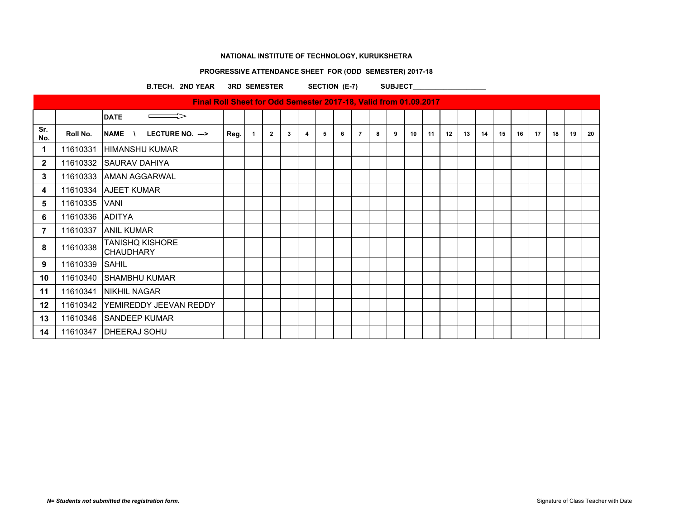# **PROGRESSIVE ATTENDANCE SHEET FOR (ODD SEMESTER) 2017-18**

B.TECH. 2ND YEAR 3RD SEMESTER SECTION (E-7) SUBJECT\_\_\_\_\_\_\_\_\_\_\_\_\_\_\_\_\_\_\_\_\_\_\_\_\_\_\_\_\_\_

|                |                 | Final Roll Sheet for Odd Semester 2017-18, Valid from 01.09.2017 |      |             |                |   |                |   |   |                |   |   |    |    |    |    |    |    |    |    |    |    |    |
|----------------|-----------------|------------------------------------------------------------------|------|-------------|----------------|---|----------------|---|---|----------------|---|---|----|----|----|----|----|----|----|----|----|----|----|
|                |                 | <b>DATE</b>                                                      |      |             |                |   |                |   |   |                |   |   |    |    |    |    |    |    |    |    |    |    |    |
| Sr.<br>No.     | Roll No.        | <b>NAME</b><br>LECTURE NO. --->                                  | Reg. | $\mathbf 1$ | $\overline{2}$ | 3 | $\overline{4}$ | 5 | 6 | $\overline{7}$ | 8 | 9 | 10 | 11 | 12 | 13 | 14 | 15 | 16 | 17 | 18 | 19 | 20 |
| 1              | 11610331        | <b>HIMANSHU KUMAR</b>                                            |      |             |                |   |                |   |   |                |   |   |    |    |    |    |    |    |    |    |    |    |    |
| $\mathbf{2}$   |                 | 11610332 SAURAV DAHIYA                                           |      |             |                |   |                |   |   |                |   |   |    |    |    |    |    |    |    |    |    |    |    |
| 3              |                 | 11610333 AMAN AGGARWAL                                           |      |             |                |   |                |   |   |                |   |   |    |    |    |    |    |    |    |    |    |    |    |
| 4              |                 | 11610334 AJEET KUMAR                                             |      |             |                |   |                |   |   |                |   |   |    |    |    |    |    |    |    |    |    |    |    |
| 5              | 11610335 VANI   |                                                                  |      |             |                |   |                |   |   |                |   |   |    |    |    |    |    |    |    |    |    |    |    |
| 6              | 11610336 ADITYA |                                                                  |      |             |                |   |                |   |   |                |   |   |    |    |    |    |    |    |    |    |    |    |    |
| $\overline{7}$ | 11610337        | <b>ANIL KUMAR</b>                                                |      |             |                |   |                |   |   |                |   |   |    |    |    |    |    |    |    |    |    |    |    |
| 8              | 11610338        | <b>TANISHQ KISHORE</b><br><b>CHAUDHARY</b>                       |      |             |                |   |                |   |   |                |   |   |    |    |    |    |    |    |    |    |    |    |    |
| 9              | 11610339 SAHIL  |                                                                  |      |             |                |   |                |   |   |                |   |   |    |    |    |    |    |    |    |    |    |    |    |
| 10             | 11610340        | <b>SHAMBHU KUMAR</b>                                             |      |             |                |   |                |   |   |                |   |   |    |    |    |    |    |    |    |    |    |    |    |
| 11             | 11610341        | <b>INIKHIL NAGAR</b>                                             |      |             |                |   |                |   |   |                |   |   |    |    |    |    |    |    |    |    |    |    |    |
| $12 \,$        |                 | 11610342 YEMIREDDY JEEVAN REDDY                                  |      |             |                |   |                |   |   |                |   |   |    |    |    |    |    |    |    |    |    |    |    |
| 13             |                 | 11610346 SANDEEP KUMAR                                           |      |             |                |   |                |   |   |                |   |   |    |    |    |    |    |    |    |    |    |    |    |
| 14             | 11610347        | <b>IDHEERAJ SOHU</b>                                             |      |             |                |   |                |   |   |                |   |   |    |    |    |    |    |    |    |    |    |    |    |